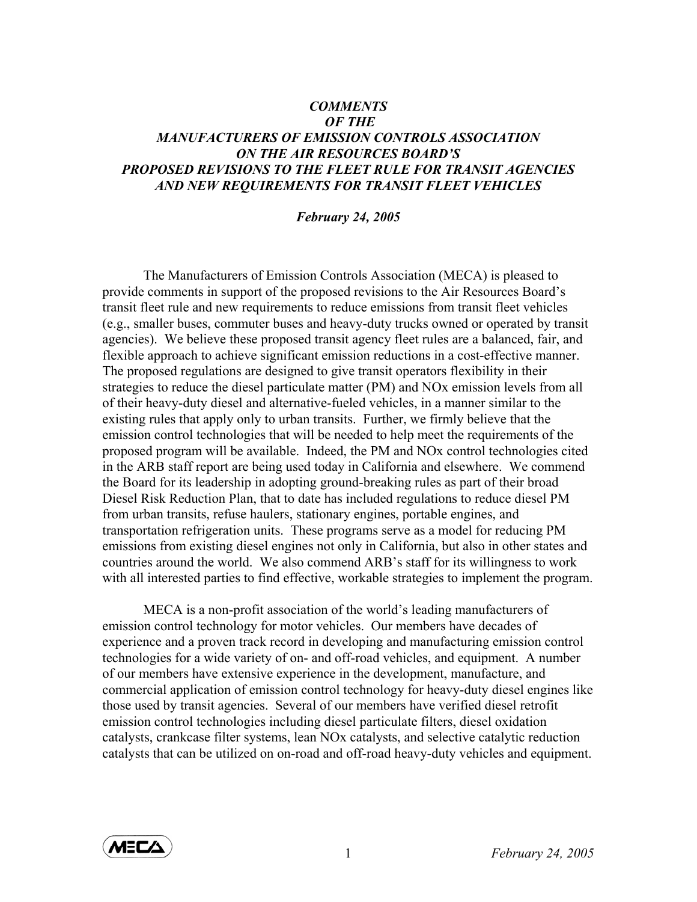## *COMMENTS OF THE MANUFACTURERS OF EMISSION CONTROLS ASSOCIATION ON THE AIR RESOURCES BOARD'S PROPOSED REVISIONS TO THE FLEET RULE FOR TRANSIT AGENCIES AND NEW REQUIREMENTS FOR TRANSIT FLEET VEHICLES*

## *February 24, 2005*

The Manufacturers of Emission Controls Association (MECA) is pleased to provide comments in support of the proposed revisions to the Air Resources Board's transit fleet rule and new requirements to reduce emissions from transit fleet vehicles (e.g., smaller buses, commuter buses and heavy-duty trucks owned or operated by transit agencies). We believe these proposed transit agency fleet rules are a balanced, fair, and flexible approach to achieve significant emission reductions in a cost-effective manner. The proposed regulations are designed to give transit operators flexibility in their strategies to reduce the diesel particulate matter (PM) and NOx emission levels from all of their heavy-duty diesel and alternative-fueled vehicles, in a manner similar to the existing rules that apply only to urban transits. Further, we firmly believe that the emission control technologies that will be needed to help meet the requirements of the proposed program will be available. Indeed, the PM and NOx control technologies cited in the ARB staff report are being used today in California and elsewhere. We commend the Board for its leadership in adopting ground-breaking rules as part of their broad Diesel Risk Reduction Plan, that to date has included regulations to reduce diesel PM from urban transits, refuse haulers, stationary engines, portable engines, and transportation refrigeration units. These programs serve as a model for reducing PM emissions from existing diesel engines not only in California, but also in other states and countries around the world. We also commend ARB's staff for its willingness to work with all interested parties to find effective, workable strategies to implement the program.

 MECA is a non-profit association of the world's leading manufacturers of emission control technology for motor vehicles. Our members have decades of experience and a proven track record in developing and manufacturing emission control technologies for a wide variety of on- and off-road vehicles, and equipment. A number of our members have extensive experience in the development, manufacture, and commercial application of emission control technology for heavy-duty diesel engines like those used by transit agencies. Several of our members have verified diesel retrofit emission control technologies including diesel particulate filters, diesel oxidation catalysts, crankcase filter systems, lean NOx catalysts, and selective catalytic reduction catalysts that can be utilized on on-road and off-road heavy-duty vehicles and equipment.

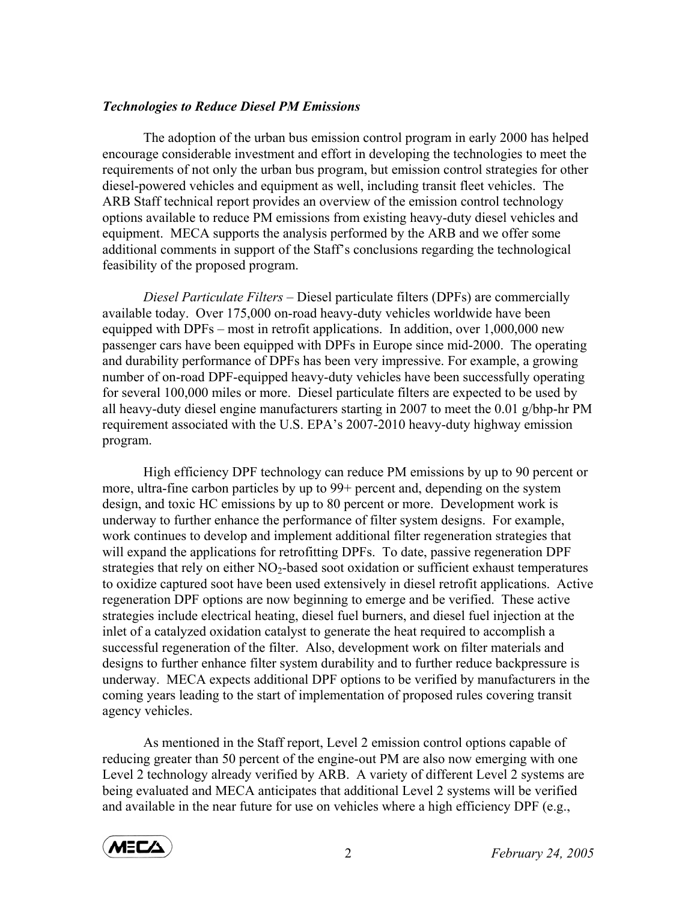## *Technologies to Reduce Diesel PM Emissions*

The adoption of the urban bus emission control program in early 2000 has helped encourage considerable investment and effort in developing the technologies to meet the requirements of not only the urban bus program, but emission control strategies for other diesel-powered vehicles and equipment as well, including transit fleet vehicles. The ARB Staff technical report provides an overview of the emission control technology options available to reduce PM emissions from existing heavy-duty diesel vehicles and equipment. MECA supports the analysis performed by the ARB and we offer some additional comments in support of the Staff's conclusions regarding the technological feasibility of the proposed program.

*Diesel Particulate Filters –* Diesel particulate filters (DPFs) are commercially available today. Over 175,000 on-road heavy-duty vehicles worldwide have been equipped with DPFs – most in retrofit applications. In addition, over 1,000,000 new passenger cars have been equipped with DPFs in Europe since mid-2000. The operating and durability performance of DPFs has been very impressive. For example, a growing number of on-road DPF-equipped heavy-duty vehicles have been successfully operating for several 100,000 miles or more. Diesel particulate filters are expected to be used by all heavy-duty diesel engine manufacturers starting in 2007 to meet the 0.01 g/bhp-hr PM requirement associated with the U.S. EPA's 2007-2010 heavy-duty highway emission program.

High efficiency DPF technology can reduce PM emissions by up to 90 percent or more, ultra-fine carbon particles by up to 99+ percent and, depending on the system design, and toxic HC emissions by up to 80 percent or more. Development work is underway to further enhance the performance of filter system designs. For example, work continues to develop and implement additional filter regeneration strategies that will expand the applications for retrofitting DPFs. To date, passive regeneration DPF strategies that rely on either  $NO<sub>2</sub>$ -based soot oxidation or sufficient exhaust temperatures to oxidize captured soot have been used extensively in diesel retrofit applications. Active regeneration DPF options are now beginning to emerge and be verified. These active strategies include electrical heating, diesel fuel burners, and diesel fuel injection at the inlet of a catalyzed oxidation catalyst to generate the heat required to accomplish a successful regeneration of the filter. Also, development work on filter materials and designs to further enhance filter system durability and to further reduce backpressure is underway. MECA expects additional DPF options to be verified by manufacturers in the coming years leading to the start of implementation of proposed rules covering transit agency vehicles.

As mentioned in the Staff report, Level 2 emission control options capable of reducing greater than 50 percent of the engine-out PM are also now emerging with one Level 2 technology already verified by ARB. A variety of different Level 2 systems are being evaluated and MECA anticipates that additional Level 2 systems will be verified and available in the near future for use on vehicles where a high efficiency DPF (e.g.,

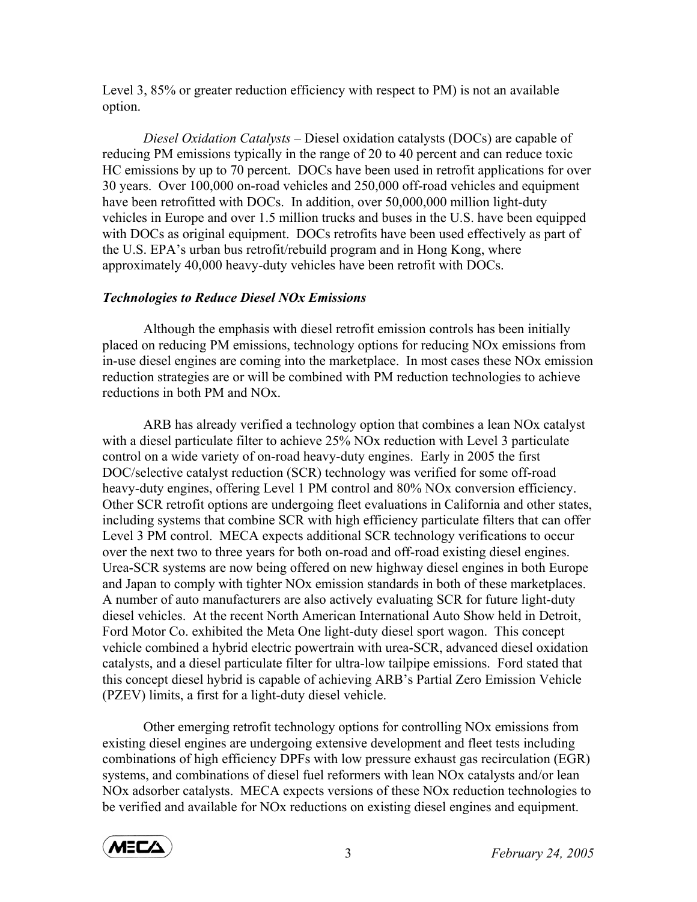Level 3, 85% or greater reduction efficiency with respect to PM) is not an available option.

*Diesel Oxidation Catalysts –* Diesel oxidation catalysts (DOCs) are capable of reducing PM emissions typically in the range of 20 to 40 percent and can reduce toxic HC emissions by up to 70 percent. DOCs have been used in retrofit applications for over 30 years. Over 100,000 on-road vehicles and 250,000 off-road vehicles and equipment have been retrofitted with DOCs. In addition, over 50,000,000 million light-duty vehicles in Europe and over 1.5 million trucks and buses in the U.S. have been equipped with DOCs as original equipment. DOCs retrofits have been used effectively as part of the U.S. EPA's urban bus retrofit/rebuild program and in Hong Kong, where approximately 40,000 heavy-duty vehicles have been retrofit with DOCs.

## *Technologies to Reduce Diesel NOx Emissions*

 Although the emphasis with diesel retrofit emission controls has been initially placed on reducing PM emissions, technology options for reducing NOx emissions from in-use diesel engines are coming into the marketplace. In most cases these NOx emission reduction strategies are or will be combined with PM reduction technologies to achieve reductions in both PM and NOx.

 ARB has already verified a technology option that combines a lean NOx catalyst with a diesel particulate filter to achieve 25% NO<sub>x</sub> reduction with Level 3 particulate control on a wide variety of on-road heavy-duty engines. Early in 2005 the first DOC/selective catalyst reduction (SCR) technology was verified for some off-road heavy-duty engines, offering Level 1 PM control and 80% NOx conversion efficiency. Other SCR retrofit options are undergoing fleet evaluations in California and other states, including systems that combine SCR with high efficiency particulate filters that can offer Level 3 PM control. MECA expects additional SCR technology verifications to occur over the next two to three years for both on-road and off-road existing diesel engines. Urea-SCR systems are now being offered on new highway diesel engines in both Europe and Japan to comply with tighter NOx emission standards in both of these marketplaces. A number of auto manufacturers are also actively evaluating SCR for future light-duty diesel vehicles. At the recent North American International Auto Show held in Detroit, Ford Motor Co. exhibited the Meta One light-duty diesel sport wagon. This concept vehicle combined a hybrid electric powertrain with urea-SCR, advanced diesel oxidation catalysts, and a diesel particulate filter for ultra-low tailpipe emissions. Ford stated that this concept diesel hybrid is capable of achieving ARB's Partial Zero Emission Vehicle (PZEV) limits, a first for a light-duty diesel vehicle.

 Other emerging retrofit technology options for controlling NOx emissions from existing diesel engines are undergoing extensive development and fleet tests including combinations of high efficiency DPFs with low pressure exhaust gas recirculation (EGR) systems, and combinations of diesel fuel reformers with lean NOx catalysts and/or lean NOx adsorber catalysts. MECA expects versions of these NOx reduction technologies to be verified and available for NOx reductions on existing diesel engines and equipment.